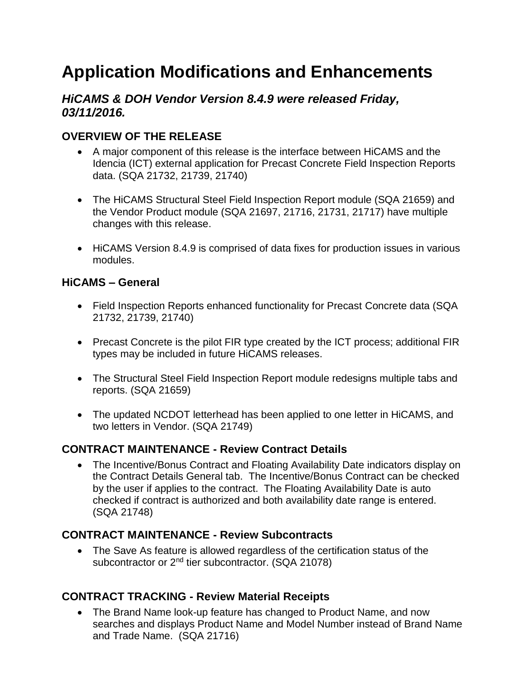# **Application Modifications and Enhancements**

## *HiCAMS & DOH Vendor Version 8.4.9 were released Friday, 03/11/2016.*

## **OVERVIEW OF THE RELEASE**

- A major component of this release is the interface between HiCAMS and the Idencia (ICT) external application for Precast Concrete Field Inspection Reports data. (SQA 21732, 21739, 21740)
- The HiCAMS Structural Steel Field Inspection Report module (SQA 21659) and the Vendor Product module (SQA 21697, 21716, 21731, 21717) have multiple changes with this release.
- HiCAMS Version 8.4.9 is comprised of data fixes for production issues in various modules.

#### **HiCAMS – General**

- Field Inspection Reports enhanced functionality for Precast Concrete data (SQA 21732, 21739, 21740)
- Precast Concrete is the pilot FIR type created by the ICT process; additional FIR types may be included in future HiCAMS releases.
- The Structural Steel Field Inspection Report module redesigns multiple tabs and reports. (SQA 21659)
- The updated NCDOT letterhead has been applied to one letter in HiCAMS, and two letters in Vendor. (SQA 21749)

## **CONTRACT MAINTENANCE - Review Contract Details**

 The Incentive/Bonus Contract and Floating Availability Date indicators display on the Contract Details General tab. The Incentive/Bonus Contract can be checked by the user if applies to the contract. The Floating Availability Date is auto checked if contract is authorized and both availability date range is entered. (SQA 21748)

## **CONTRACT MAINTENANCE - Review Subcontracts**

 The Save As feature is allowed regardless of the certification status of the subcontractor or 2<sup>nd</sup> tier subcontractor. (SQA 21078)

## **CONTRACT TRACKING - Review Material Receipts**

• The Brand Name look-up feature has changed to Product Name, and now searches and displays Product Name and Model Number instead of Brand Name and Trade Name. (SQA 21716)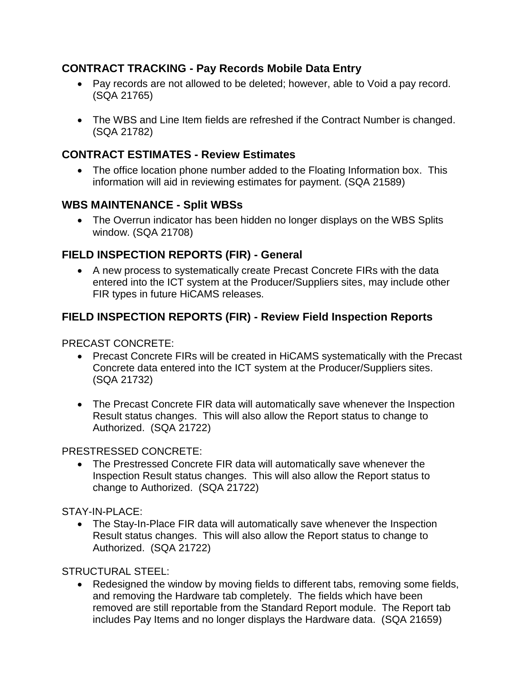## **CONTRACT TRACKING - Pay Records Mobile Data Entry**

- Pay records are not allowed to be deleted; however, able to Void a pay record. (SQA 21765)
- The WBS and Line Item fields are refreshed if the Contract Number is changed. (SQA 21782)

## **CONTRACT ESTIMATES - Review Estimates**

• The office location phone number added to the Floating Information box. This information will aid in reviewing estimates for payment. (SQA 21589)

## **WBS MAINTENANCE - Split WBSs**

 The Overrun indicator has been hidden no longer displays on the WBS Splits window. (SQA 21708)

## **FIELD INSPECTION REPORTS (FIR) - General**

 A new process to systematically create Precast Concrete FIRs with the data entered into the ICT system at the Producer/Suppliers sites, may include other FIR types in future HiCAMS releases.

# **FIELD INSPECTION REPORTS (FIR) - Review Field Inspection Reports**

PRECAST CONCRETE:

- Precast Concrete FIRs will be created in HiCAMS systematically with the Precast Concrete data entered into the ICT system at the Producer/Suppliers sites. (SQA 21732)
- The Precast Concrete FIR data will automatically save whenever the Inspection Result status changes. This will also allow the Report status to change to Authorized. (SQA 21722)

#### PRESTRESSED CONCRETE:

 The Prestressed Concrete FIR data will automatically save whenever the Inspection Result status changes. This will also allow the Report status to change to Authorized. (SQA 21722)

STAY-IN-PLACE:

• The Stay-In-Place FIR data will automatically save whenever the Inspection Result status changes. This will also allow the Report status to change to Authorized. (SQA 21722)

STRUCTURAL STEEL:

• Redesigned the window by moving fields to different tabs, removing some fields, and removing the Hardware tab completely. The fields which have been removed are still reportable from the Standard Report module. The Report tab includes Pay Items and no longer displays the Hardware data. (SQA 21659)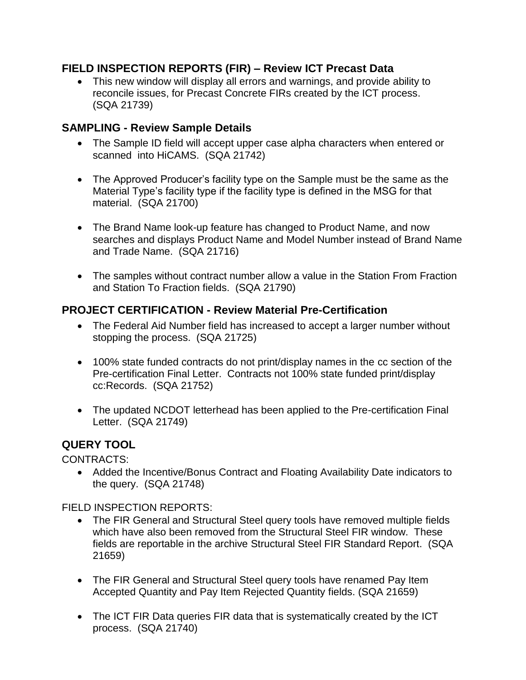#### **FIELD INSPECTION REPORTS (FIR) – Review ICT Precast Data**

 This new window will display all errors and warnings, and provide ability to reconcile issues, for Precast Concrete FIRs created by the ICT process. (SQA 21739)

## **SAMPLING - Review Sample Details**

- The Sample ID field will accept upper case alpha characters when entered or scanned into HiCAMS. (SQA 21742)
- The Approved Producer's facility type on the Sample must be the same as the Material Type's facility type if the facility type is defined in the MSG for that material. (SQA 21700)
- The Brand Name look-up feature has changed to Product Name, and now searches and displays Product Name and Model Number instead of Brand Name and Trade Name. (SQA 21716)
- The samples without contract number allow a value in the Station From Fraction and Station To Fraction fields. (SQA 21790)

## **PROJECT CERTIFICATION - Review Material Pre-Certification**

- The Federal Aid Number field has increased to accept a larger number without stopping the process. (SQA 21725)
- 100% state funded contracts do not print/display names in the cc section of the Pre-certification Final Letter. Contracts not 100% state funded print/display cc:Records. (SQA 21752)
- The updated NCDOT letterhead has been applied to the Pre-certification Final Letter. (SQA 21749)

# **QUERY TOOL**

CONTRACTS:

 Added the Incentive/Bonus Contract and Floating Availability Date indicators to the query. (SQA 21748)

FIELD INSPECTION REPORTS:

- The FIR General and Structural Steel query tools have removed multiple fields which have also been removed from the Structural Steel FIR window. These fields are reportable in the archive Structural Steel FIR Standard Report. (SQA 21659)
- The FIR General and Structural Steel query tools have renamed Pay Item Accepted Quantity and Pay Item Rejected Quantity fields. (SQA 21659)
- The ICT FIR Data queries FIR data that is systematically created by the ICT process. (SQA 21740)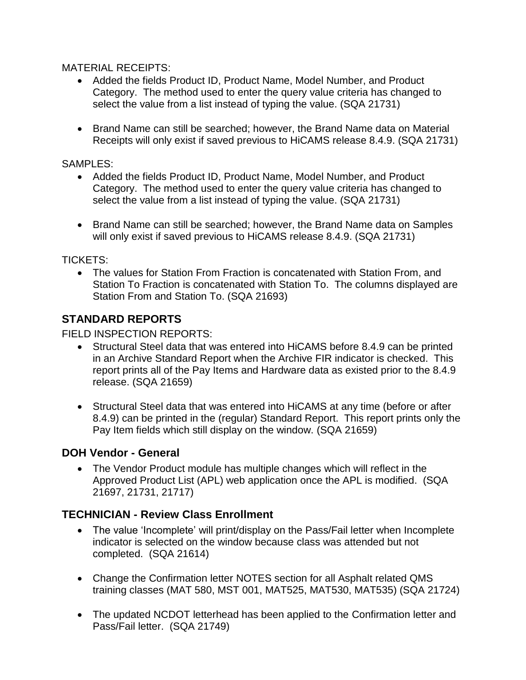MATERIAL RECEIPTS:

- Added the fields Product ID, Product Name, Model Number, and Product Category. The method used to enter the query value criteria has changed to select the value from a list instead of typing the value. (SQA 21731)
- Brand Name can still be searched; however, the Brand Name data on Material Receipts will only exist if saved previous to HiCAMS release 8.4.9. (SQA 21731)

#### SAMPLES:

- Added the fields Product ID, Product Name, Model Number, and Product Category. The method used to enter the query value criteria has changed to select the value from a list instead of typing the value. (SQA 21731)
- Brand Name can still be searched; however, the Brand Name data on Samples will only exist if saved previous to HiCAMS release 8.4.9. (SQA 21731)

TICKETS:

 The values for Station From Fraction is concatenated with Station From, and Station To Fraction is concatenated with Station To. The columns displayed are Station From and Station To. (SQA 21693)

# **STANDARD REPORTS**

FIELD INSPECTION REPORTS:

- Structural Steel data that was entered into HiCAMS before 8.4.9 can be printed in an Archive Standard Report when the Archive FIR indicator is checked. This report prints all of the Pay Items and Hardware data as existed prior to the 8.4.9 release. (SQA 21659)
- Structural Steel data that was entered into HiCAMS at any time (before or after 8.4.9) can be printed in the (regular) Standard Report. This report prints only the Pay Item fields which still display on the window. (SQA 21659)

## **DOH Vendor - General**

 The Vendor Product module has multiple changes which will reflect in the Approved Product List (APL) web application once the APL is modified. (SQA 21697, 21731, 21717)

## **TECHNICIAN - Review Class Enrollment**

- The value 'Incomplete' will print/display on the Pass/Fail letter when Incomplete indicator is selected on the window because class was attended but not completed. (SQA 21614)
- Change the Confirmation letter NOTES section for all Asphalt related QMS training classes (MAT 580, MST 001, MAT525, MAT530, MAT535) (SQA 21724)
- The updated NCDOT letterhead has been applied to the Confirmation letter and Pass/Fail letter. (SQA 21749)